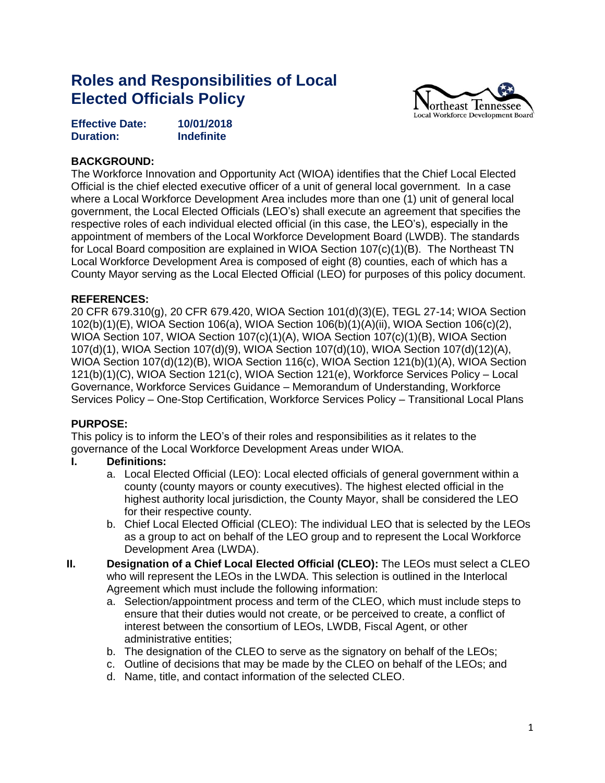# **Roles and Responsibilities of Local Elected Officials Policy**



| <b>Effective Date:</b> | 10/01/2018        |
|------------------------|-------------------|
| <b>Duration:</b>       | <b>Indefinite</b> |

### **BACKGROUND:**

The Workforce Innovation and Opportunity Act (WIOA) identifies that the Chief Local Elected Official is the chief elected executive officer of a unit of general local government. In a case where a Local Workforce Development Area includes more than one (1) unit of general local government, the Local Elected Officials (LEO's) shall execute an agreement that specifies the respective roles of each individual elected official (in this case, the LEO's), especially in the appointment of members of the Local Workforce Development Board (LWDB). The standards for Local Board composition are explained in WIOA Section 107(c)(1)(B). The Northeast TN Local Workforce Development Area is composed of eight (8) counties, each of which has a County Mayor serving as the Local Elected Official (LEO) for purposes of this policy document.

#### **REFERENCES:**

20 CFR 679.310(g), 20 CFR 679.420, WIOA Section 101(d)(3)(E), TEGL 27-14; WIOA Section 102(b)(1)(E), WIOA Section 106(a), WIOA Section 106(b)(1)(A)(ii), WIOA Section 106(c)(2), WIOA Section 107, WIOA Section 107(c)(1)(A), WIOA Section 107(c)(1)(B), WIOA Section 107(d)(1), WIOA Section 107(d)(9), WIOA Section 107(d)(10), WIOA Section 107(d)(12)(A), WIOA Section 107(d)(12)(B), WIOA Section 116(c), WIOA Section 121(b)(1)(A), WIOA Section 121(b)(1)(C), WIOA Section 121(c), WIOA Section 121(e), Workforce Services Policy – Local Governance, Workforce Services Guidance – Memorandum of Understanding, Workforce Services Policy – One-Stop Certification, Workforce Services Policy – Transitional Local Plans

#### **PURPOSE:**

This policy is to inform the LEO's of their roles and responsibilities as it relates to the governance of the Local Workforce Development Areas under WIOA.

## **I. Definitions:**

- a. Local Elected Official (LEO): Local elected officials of general government within a county (county mayors or county executives). The highest elected official in the highest authority local jurisdiction, the County Mayor, shall be considered the LEO for their respective county.
- b. Chief Local Elected Official (CLEO): The individual LEO that is selected by the LEOs as a group to act on behalf of the LEO group and to represent the Local Workforce Development Area (LWDA).
- **II. Designation of a Chief Local Elected Official (CLEO):** The LEOs must select a CLEO who will represent the LEOs in the LWDA. This selection is outlined in the Interlocal Agreement which must include the following information:
	- a. Selection/appointment process and term of the CLEO, which must include steps to ensure that their duties would not create, or be perceived to create, a conflict of interest between the consortium of LEOs, LWDB, Fiscal Agent, or other administrative entities;
	- b. The designation of the CLEO to serve as the signatory on behalf of the LEOs;
	- c. Outline of decisions that may be made by the CLEO on behalf of the LEOs; and
	- d. Name, title, and contact information of the selected CLEO.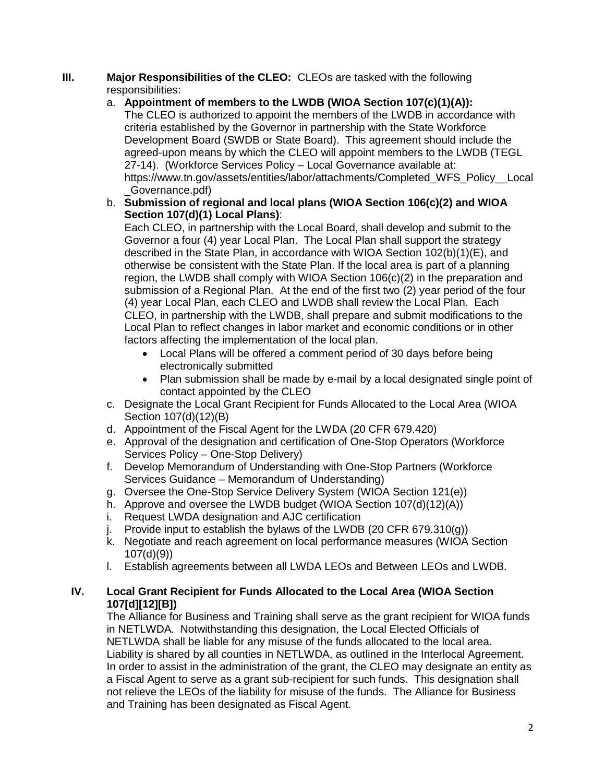#### **III. Major Responsibilities of the CLEO:** CLEOs are tasked with the following responsibilities:

- a. **Appointment of members to the LWDB (WIOA Section 107(c)(1)(A)):**  The CLEO is authorized to appoint the members of the LWDB in accordance with criteria established by the Governor in partnership with the State Workforce Development Board (SWDB or State Board). This agreement should include the agreed-upon means by which the CLEO will appoint members to the LWDB (TEGL 27-14). (Workforce Services Policy – Local Governance available at: https://www.tn.gov/assets/entities/labor/attachments/Completed\_WFS\_Policy\_\_Local \_Governance.pdf)
- b. **Submission of regional and local plans (WIOA Section 106(c)(2) and WIOA Section 107(d)(1) Local Plans)**:

Each CLEO, in partnership with the Local Board, shall develop and submit to the Governor a four (4) year Local Plan. The Local Plan shall support the strategy described in the State Plan, in accordance with WIOA Section 102(b)(1)(E), and otherwise be consistent with the State Plan. If the local area is part of a planning region, the LWDB shall comply with WIOA Section 106(c)(2) in the preparation and submission of a Regional Plan. At the end of the first two (2) year period of the four (4) year Local Plan, each CLEO and LWDB shall review the Local Plan. Each CLEO, in partnership with the LWDB, shall prepare and submit modifications to the Local Plan to reflect changes in labor market and economic conditions or in other factors affecting the implementation of the local plan.

- Local Plans will be offered a comment period of 30 days before being electronically submitted
- Plan submission shall be made by e-mail by a local designated single point of contact appointed by the CLEO
- c. Designate the Local Grant Recipient for Funds Allocated to the Local Area (WIOA Section 107(d)(12)(B)
- d. Appointment of the Fiscal Agent for the LWDA (20 CFR 679.420)
- e. Approval of the designation and certification of One-Stop Operators (Workforce Services Policy – One-Stop Delivery)
- f. Develop Memorandum of Understanding with One-Stop Partners (Workforce Services Guidance – Memorandum of Understanding)
- g. Oversee the One-Stop Service Delivery System (WIOA Section 121(e))
- h. Approve and oversee the LWDB budget (WIOA Section 107(d)(12)(A))
- i. Request LWDA designation and AJC certification
- j. Provide input to establish the bylaws of the LWDB (20 CFR 679.310(g))
- k. Negotiate and reach agreement on local performance measures (WIOA Section 107(d)(9))
- l. Establish agreements between all LWDA LEOs and Between LEOs and LWDB.

## **IV. Local Grant Recipient for Funds Allocated to the Local Area (WIOA Section 107[d][12][B])**

The Alliance for Business and Training shall serve as the grant recipient for WIOA funds in NETLWDA. Notwithstanding this designation, the Local Elected Officials of NETLWDA shall be liable for any misuse of the funds allocated to the local area. Liability is shared by all counties in NETLWDA, as outlined in the Interlocal Agreement. In order to assist in the administration of the grant, the CLEO may designate an entity as a Fiscal Agent to serve as a grant sub-recipient for such funds. This designation shall not relieve the LEOs of the liability for misuse of the funds. The Alliance for Business and Training has been designated as Fiscal Agent.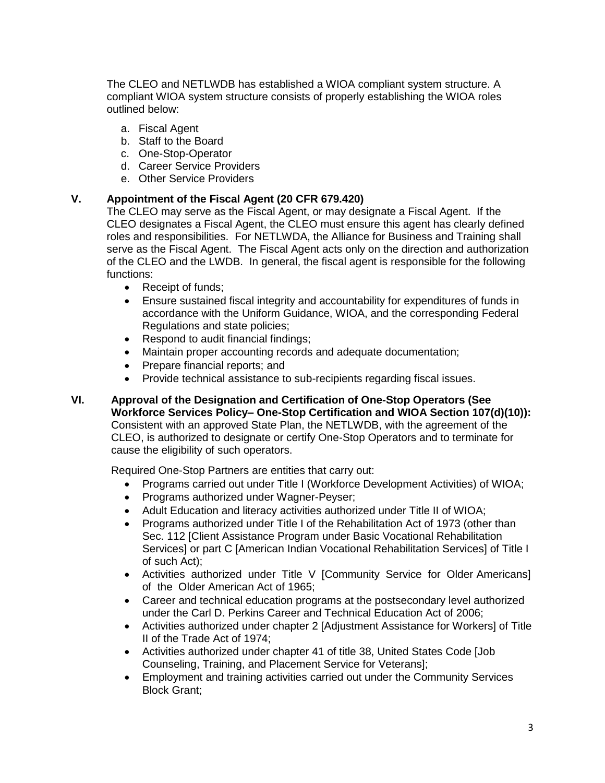The CLEO and NETLWDB has established a WIOA compliant system structure. A compliant WIOA system structure consists of properly establishing the WIOA roles outlined below:

- a. Fiscal Agent
- b. Staff to the Board
- c. One-Stop-Operator
- d. Career Service Providers
- e. Other Service Providers

## **V. Appointment of the Fiscal Agent (20 CFR 679.420)**

The CLEO may serve as the Fiscal Agent, or may designate a Fiscal Agent. If the CLEO designates a Fiscal Agent, the CLEO must ensure this agent has clearly defined roles and responsibilities. For NETLWDA, the Alliance for Business and Training shall serve as the Fiscal Agent. The Fiscal Agent acts only on the direction and authorization of the CLEO and the LWDB. In general, the fiscal agent is responsible for the following functions:

- Receipt of funds;
- Ensure sustained fiscal integrity and accountability for expenditures of funds in accordance with the Uniform Guidance, WIOA, and the corresponding Federal Regulations and state policies;
- Respond to audit financial findings;
- Maintain proper accounting records and adequate documentation;
- Prepare financial reports; and
- Provide technical assistance to sub-recipients regarding fiscal issues.
- **VI. Approval of the Designation and Certification of One-Stop Operators (See Workforce Services Policy– One-Stop Certification and WIOA Section 107(d)(10)):**  Consistent with an approved State Plan, the NETLWDB, with the agreement of the CLEO, is authorized to designate or certify One-Stop Operators and to terminate for cause the eligibility of such operators.

Required One-Stop Partners are entities that carry out:

- Programs carried out under Title I (Workforce Development Activities) of WIOA;
- Programs authorized under Wagner-Peyser;
- Adult Education and literacy activities authorized under Title II of WIOA;
- Programs authorized under Title I of the Rehabilitation Act of 1973 (other than Sec. 112 [Client Assistance Program under Basic Vocational Rehabilitation Services] or part C [American Indian Vocational Rehabilitation Services] of Title I of such Act);
- Activities authorized under Title V [Community Service for Older Americans] of the Older American Act of 1965;
- Career and technical education programs at the postsecondary level authorized under the Carl D. Perkins Career and Technical Education Act of 2006;
- Activities authorized under chapter 2 [Adjustment Assistance for Workers] of Title II of the Trade Act of 1974;
- Activities authorized under chapter 41 of title 38, United States Code [Job Counseling, Training, and Placement Service for Veterans];
- Employment and training activities carried out under the Community Services Block Grant;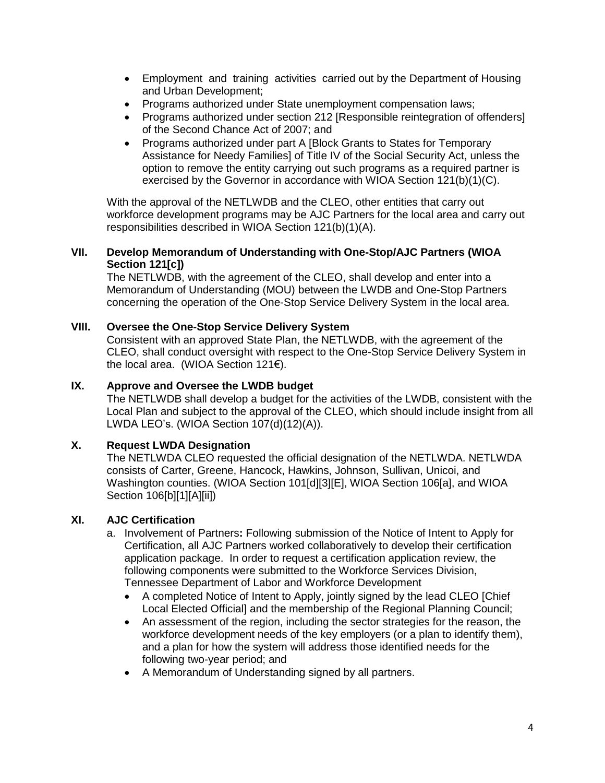- Employment and training activities carried out by the Department of Housing and Urban Development;
- Programs authorized under State unemployment compensation laws;
- Programs authorized under section 212 [Responsible reintegration of offenders] of the Second Chance Act of 2007; and
- Programs authorized under part A [Block Grants to States for Temporary Assistance for Needy Families] of Title IV of the Social Security Act, unless the option to remove the entity carrying out such programs as a required partner is exercised by the Governor in accordance with WIOA Section 121(b)(1)(C).

With the approval of the NETLWDB and the CLEO, other entities that carry out workforce development programs may be AJC Partners for the local area and carry out responsibilities described in WIOA Section 121(b)(1)(A).

#### **VII. Develop Memorandum of Understanding with One-Stop/AJC Partners (WIOA Section 121[c])**

The NETLWDB, with the agreement of the CLEO, shall develop and enter into a Memorandum of Understanding (MOU) between the LWDB and One-Stop Partners concerning the operation of the One-Stop Service Delivery System in the local area.

#### **VIII. Oversee the One-Stop Service Delivery System**

Consistent with an approved State Plan, the NETLWDB, with the agreement of the CLEO, shall conduct oversight with respect to the One-Stop Service Delivery System in the local area. (WIOA Section 121€).

#### **IX. Approve and Oversee the LWDB budget**

The NETLWDB shall develop a budget for the activities of the LWDB, consistent with the Local Plan and subject to the approval of the CLEO, which should include insight from all LWDA LEO's. (WIOA Section 107(d)(12)(A)).

#### **X. Request LWDA Designation**

The NETLWDA CLEO requested the official designation of the NETLWDA. NETLWDA consists of Carter, Greene, Hancock, Hawkins, Johnson, Sullivan, Unicoi, and Washington counties. (WIOA Section 101[d][3][E], WIOA Section 106[a], and WIOA Section 106[b][1][A][ii])

## **XI. AJC Certification**

- a. Involvement of Partners**:** Following submission of the Notice of Intent to Apply for Certification, all AJC Partners worked collaboratively to develop their certification application package. In order to request a certification application review, the following components were submitted to the Workforce Services Division, Tennessee Department of Labor and Workforce Development
	- A completed Notice of Intent to Apply, jointly signed by the lead CLEO [Chief Local Elected Official] and the membership of the Regional Planning Council;
	- An assessment of the region, including the sector strategies for the reason, the workforce development needs of the key employers (or a plan to identify them), and a plan for how the system will address those identified needs for the following two-year period; and
	- A Memorandum of Understanding signed by all partners.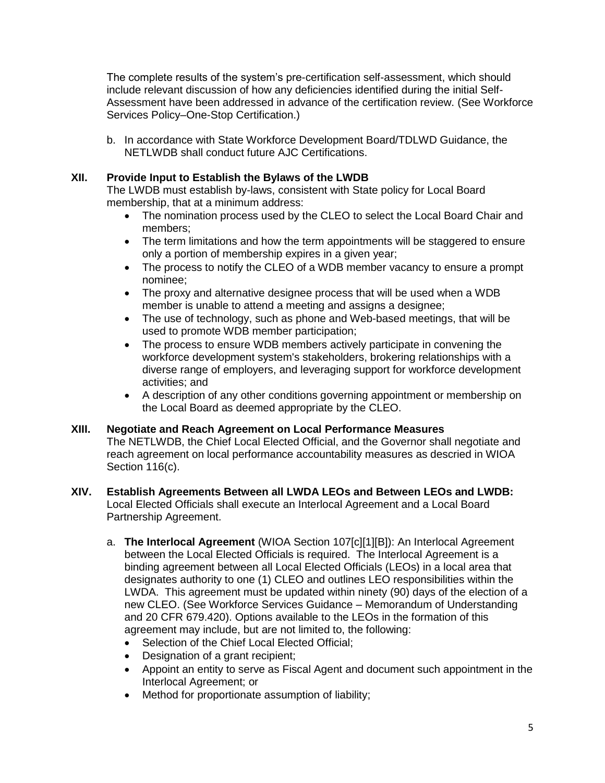The complete results of the system's pre-certification self-assessment, which should include relevant discussion of how any deficiencies identified during the initial Self-Assessment have been addressed in advance of the certification review. (See Workforce Services Policy–One-Stop Certification.)

b. In accordance with State Workforce Development Board/TDLWD Guidance, the NETLWDB shall conduct future AJC Certifications.

## **XII. Provide Input to Establish the Bylaws of the LWDB**

The LWDB must establish by-laws, consistent with State policy for Local Board membership, that at a minimum address:

- The nomination process used by the CLEO to select the Local Board Chair and members;
- The term limitations and how the term appointments will be staggered to ensure only a portion of membership expires in a given year;
- The process to notify the CLEO of a WDB member vacancy to ensure a prompt nominee;
- The proxy and alternative designee process that will be used when a WDB member is unable to attend a meeting and assigns a designee;
- The use of technology, such as phone and Web-based meetings, that will be used to promote WDB member participation;
- The process to ensure WDB members actively participate in convening the workforce development system's stakeholders, brokering relationships with a diverse range of employers, and leveraging support for workforce development activities; and
- A description of any other conditions governing appointment or membership on the Local Board as deemed appropriate by the CLEO.

## **XIII. Negotiate and Reach Agreement on Local Performance Measures**

The NETLWDB, the Chief Local Elected Official, and the Governor shall negotiate and reach agreement on local performance accountability measures as descried in WIOA Section 116(c).

#### **XIV. Establish Agreements Between all LWDA LEOs and Between LEOs and LWDB:**

Local Elected Officials shall execute an Interlocal Agreement and a Local Board Partnership Agreement.

- a. **The Interlocal Agreement** (WIOA Section 107[c][1][B]): An Interlocal Agreement between the Local Elected Officials is required. The Interlocal Agreement is a binding agreement between all Local Elected Officials (LEOs) in a local area that designates authority to one (1) CLEO and outlines LEO responsibilities within the LWDA. This agreement must be updated within ninety (90) days of the election of a new CLEO. (See Workforce Services Guidance – Memorandum of Understanding and 20 CFR 679.420). Options available to the LEOs in the formation of this agreement may include, but are not limited to, the following:
	- Selection of the Chief Local Elected Official:
	- Designation of a grant recipient;
	- Appoint an entity to serve as Fiscal Agent and document such appointment in the Interlocal Agreement; or
	- Method for proportionate assumption of liability;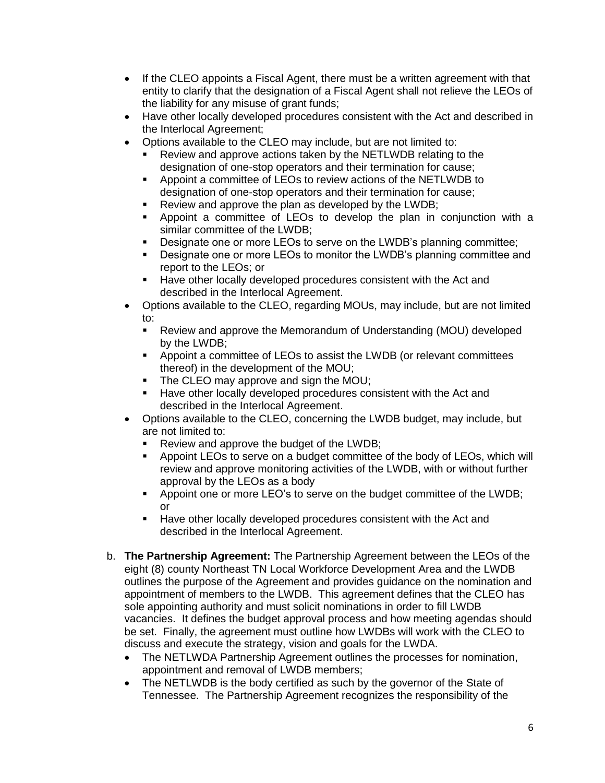- If the CLEO appoints a Fiscal Agent, there must be a written agreement with that entity to clarify that the designation of a Fiscal Agent shall not relieve the LEOs of the liability for any misuse of grant funds;
- Have other locally developed procedures consistent with the Act and described in the Interlocal Agreement;
- Options available to the CLEO may include, but are not limited to:
	- Review and approve actions taken by the NETLWDB relating to the designation of one-stop operators and their termination for cause;
	- Appoint a committee of LEOs to review actions of the NETLWDB to designation of one-stop operators and their termination for cause;
	- Review and approve the plan as developed by the LWDB;
	- Appoint a committee of LEOs to develop the plan in conjunction with a similar committee of the LWDB;
	- **Designate one or more LEOs to serve on the LWDB's planning committee;**
	- Designate one or more LEOs to monitor the LWDB's planning committee and report to the LEOs; or
	- **Have other locally developed procedures consistent with the Act and** described in the Interlocal Agreement.
- Options available to the CLEO, regarding MOUs, may include, but are not limited to:
	- Review and approve the Memorandum of Understanding (MOU) developed by the LWDB;
	- Appoint a committee of LEOs to assist the LWDB (or relevant committees thereof) in the development of the MOU;
	- The CLEO may approve and sign the MOU;
	- **Have other locally developed procedures consistent with the Act and** described in the Interlocal Agreement.
- Options available to the CLEO, concerning the LWDB budget, may include, but are not limited to:
	- Review and approve the budget of the LWDB;
	- Appoint LEOs to serve on a budget committee of the body of LEOs, which will review and approve monitoring activities of the LWDB, with or without further approval by the LEOs as a body
	- **•** Appoint one or more LEO's to serve on the budget committee of the LWDB; or
	- **Have other locally developed procedures consistent with the Act and** described in the Interlocal Agreement.
- b. **The Partnership Agreement:** The Partnership Agreement between the LEOs of the eight (8) county Northeast TN Local Workforce Development Area and the LWDB outlines the purpose of the Agreement and provides guidance on the nomination and appointment of members to the LWDB. This agreement defines that the CLEO has sole appointing authority and must solicit nominations in order to fill LWDB vacancies. It defines the budget approval process and how meeting agendas should be set. Finally, the agreement must outline how LWDBs will work with the CLEO to discuss and execute the strategy, vision and goals for the LWDA.
	- The NETLWDA Partnership Agreement outlines the processes for nomination, appointment and removal of LWDB members;
	- The NETLWDB is the body certified as such by the governor of the State of Tennessee. The Partnership Agreement recognizes the responsibility of the